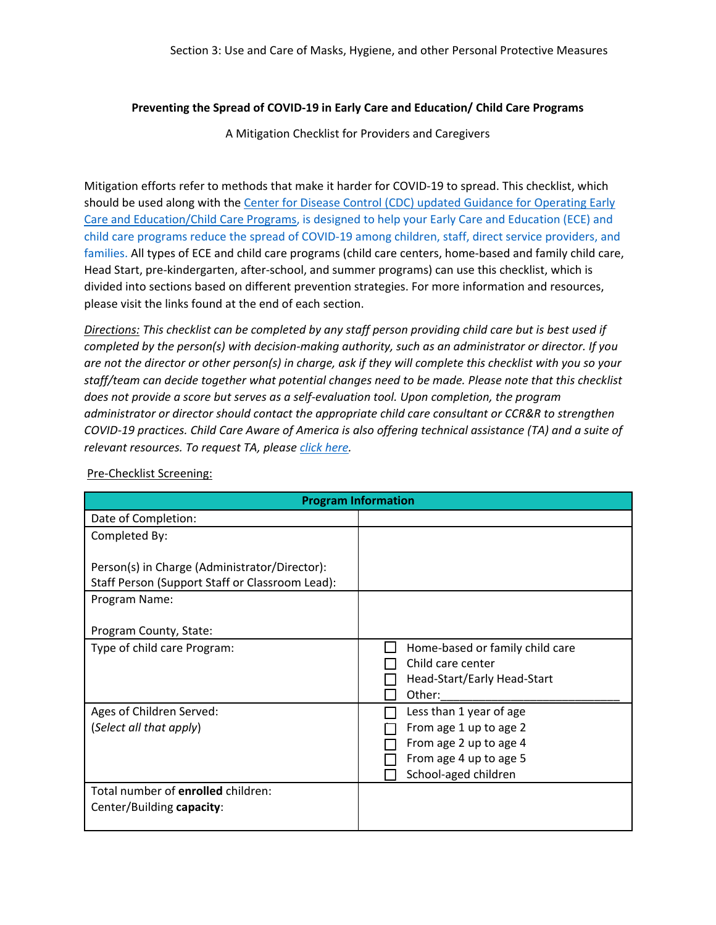## **Preventing the Spread of COVID-19 in Early Care and Education/ Child Care Programs**

A Mitigation Checklist for Providers and Caregivers

Mitigation efforts refer to methods that make it harder for COVID-19 to spread. This checklist, which should be used along with the Center for [Disease Control \(CDC\) updated Guidance for Operating Early](https://www.cdc.gov/coronavirus/2019-ncov/community/schools-childcare/child-care-guidance.html)  [Care and Education/Child Care Programs,](https://www.cdc.gov/coronavirus/2019-ncov/community/schools-childcare/child-care-guidance.html) is designed to help your Early Care and Education (ECE) and child care programs reduce the spread of COVID-19 among children, staff, direct service providers, and families. All types of ECE and child care programs (child care centers, home-based and family child care, Head Start, pre-kindergarten, after-school, and summer programs) can use this checklist, which is divided into sections based on different prevention strategies. For more information and resources, please visit the links found at the end of each section.

*Directions: This checklist can be completed by any staff person providing child care but is best used if completed by the person(s) with decision-making authority, such as an administrator or director. If you are not the director or other person(s) in charge, ask if they will complete this checklist with you so your staff/team can decide together what potential changes need to be made. Please note that this checklist does not provide a score but serves as a self-evaluation tool. Upon completion, the program administrator or director should contact the appropriate child care consultant or CCR&R to strengthen COVID-19 practices. Child Care Aware of America is also offering technical assistance (TA) and a suite of relevant resources. To request TA, please [click here.](https://info.childcareaware.org/request-technical-assistance-from-ccaoa)* 

| <b>Program Information</b>                                                                       |                                                                                                    |
|--------------------------------------------------------------------------------------------------|----------------------------------------------------------------------------------------------------|
| Date of Completion:                                                                              |                                                                                                    |
| Completed By:                                                                                    |                                                                                                    |
| Person(s) in Charge (Administrator/Director):<br>Staff Person (Support Staff or Classroom Lead): |                                                                                                    |
| Program Name:                                                                                    |                                                                                                    |
| Program County, State:                                                                           |                                                                                                    |
| Type of child care Program:                                                                      | Home-based or family child care<br>Child care center<br>Head-Start/Early Head-Start<br>Other:      |
| Ages of Children Served:                                                                         | Less than 1 year of age                                                                            |
| (Select all that apply)                                                                          | From age 1 up to age 2<br>From age 2 up to age 4<br>From age 4 up to age 5<br>School-aged children |
| Total number of enrolled children:<br>Center/Building capacity:                                  |                                                                                                    |

Pre-Checklist Screening: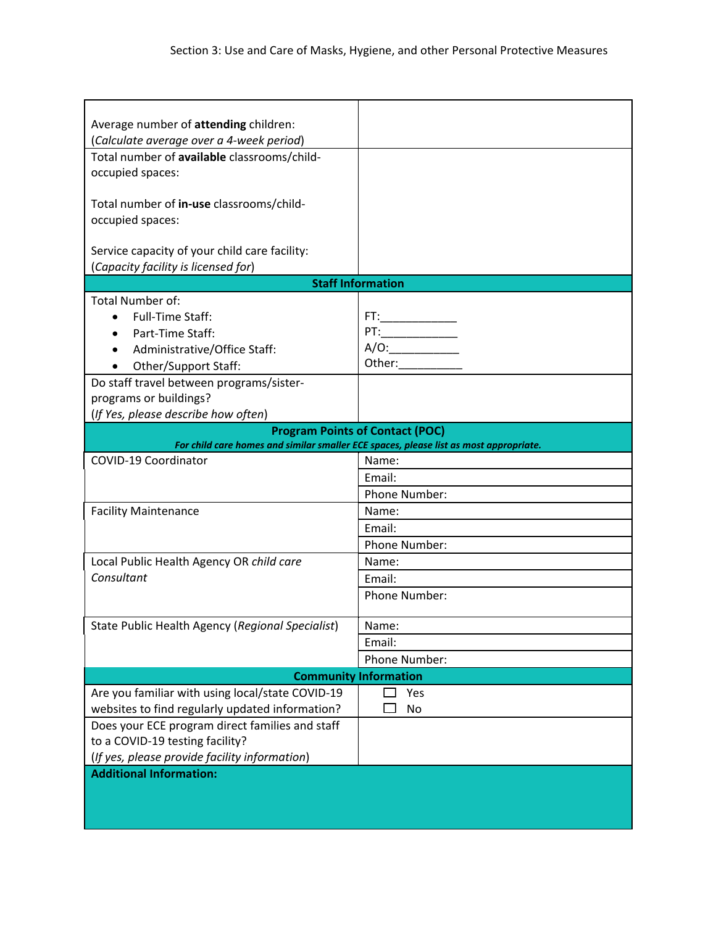| Average number of attending children:                                                                                           |                                                                                                                                                                                                                                        |
|---------------------------------------------------------------------------------------------------------------------------------|----------------------------------------------------------------------------------------------------------------------------------------------------------------------------------------------------------------------------------------|
| (Calculate average over a 4-week period)                                                                                        |                                                                                                                                                                                                                                        |
| Total number of available classrooms/child-                                                                                     |                                                                                                                                                                                                                                        |
| occupied spaces:                                                                                                                |                                                                                                                                                                                                                                        |
| Total number of in-use classrooms/child-                                                                                        |                                                                                                                                                                                                                                        |
| occupied spaces:                                                                                                                |                                                                                                                                                                                                                                        |
|                                                                                                                                 |                                                                                                                                                                                                                                        |
| Service capacity of your child care facility:<br>(Capacity facility is licensed for)                                            |                                                                                                                                                                                                                                        |
|                                                                                                                                 | <b>Staff Information</b>                                                                                                                                                                                                               |
| <b>Total Number of:</b>                                                                                                         |                                                                                                                                                                                                                                        |
| <b>Full-Time Staff:</b>                                                                                                         |                                                                                                                                                                                                                                        |
|                                                                                                                                 |                                                                                                                                                                                                                                        |
| Part-Time Staff:                                                                                                                |                                                                                                                                                                                                                                        |
| Administrative/Office Staff:                                                                                                    | A/O:<br>Other: and the state of the state of the state of the state of the state of the state of the state of the state of the state of the state of the state of the state of the state of the state of the state of the state of the |
| Other/Support Staff:                                                                                                            |                                                                                                                                                                                                                                        |
| Do staff travel between programs/sister-                                                                                        |                                                                                                                                                                                                                                        |
| programs or buildings?                                                                                                          |                                                                                                                                                                                                                                        |
| (If Yes, please describe how often)                                                                                             |                                                                                                                                                                                                                                        |
| <b>Program Points of Contact (POC)</b><br>For child care homes and similar smaller ECE spaces, please list as most appropriate. |                                                                                                                                                                                                                                        |
| COVID-19 Coordinator                                                                                                            | Name:                                                                                                                                                                                                                                  |
|                                                                                                                                 | Email:                                                                                                                                                                                                                                 |
|                                                                                                                                 | Phone Number:                                                                                                                                                                                                                          |
| <b>Facility Maintenance</b>                                                                                                     | Name:                                                                                                                                                                                                                                  |
|                                                                                                                                 | Email:                                                                                                                                                                                                                                 |
|                                                                                                                                 | Phone Number:                                                                                                                                                                                                                          |
| Local Public Health Agency OR child care                                                                                        | Name:                                                                                                                                                                                                                                  |
| Consultant                                                                                                                      | Email:                                                                                                                                                                                                                                 |
|                                                                                                                                 | Phone Number:                                                                                                                                                                                                                          |
|                                                                                                                                 |                                                                                                                                                                                                                                        |
| State Public Health Agency (Regional Specialist)                                                                                | Name:                                                                                                                                                                                                                                  |
|                                                                                                                                 | Email:                                                                                                                                                                                                                                 |
|                                                                                                                                 | Phone Number:                                                                                                                                                                                                                          |
| <b>Community Information</b>                                                                                                    |                                                                                                                                                                                                                                        |
| Are you familiar with using local/state COVID-19                                                                                | Yes                                                                                                                                                                                                                                    |
| websites to find regularly updated information?                                                                                 | No                                                                                                                                                                                                                                     |
| Does your ECE program direct families and staff                                                                                 |                                                                                                                                                                                                                                        |
| to a COVID-19 testing facility?                                                                                                 |                                                                                                                                                                                                                                        |
| (If yes, please provide facility information)                                                                                   |                                                                                                                                                                                                                                        |
| <b>Additional Information:</b>                                                                                                  |                                                                                                                                                                                                                                        |
|                                                                                                                                 |                                                                                                                                                                                                                                        |
|                                                                                                                                 |                                                                                                                                                                                                                                        |
|                                                                                                                                 |                                                                                                                                                                                                                                        |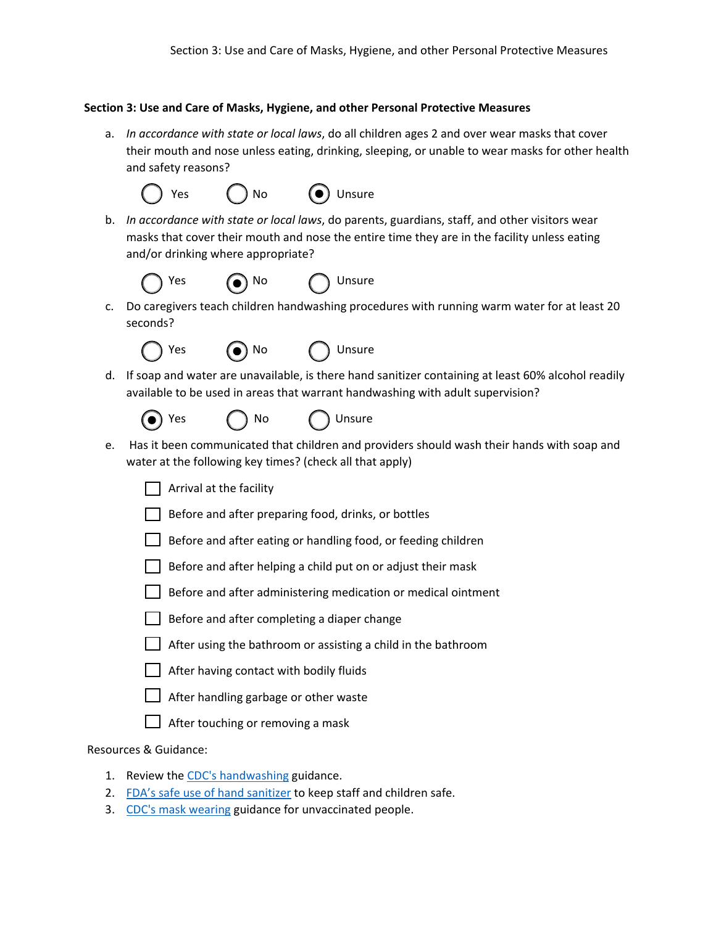## **Section 3: Use and Care of Masks, Hygiene, and other Personal Protective Measures**

a. *In accordance with state or local laws*, do all children ages 2 and over wear masks that cover their mouth and nose unless eating, drinking, sleeping, or unable to wear masks for other health and safety reasons?



b. *In accordance with state or local laws*, do parents, guardians, staff, and other visitors wear masks that cover their mouth and nose the entire time they are in the facility unless eating and/or drinking where appropriate?



c. Do caregivers teach children handwashing procedures with running warm water for at least 20 seconds?



d. If soap and water are unavailable, is there hand sanitizer containing at least 60% alcohol readily available to be used in areas that warrant handwashing with adult supervision?



e. Has it been communicated that children and providers should wash their hands with soap and water at the following key times? (check all that apply)

 $\Box$  Arrival at the facility

- Before and after preparing food, drinks, or bottles
- $\Box$  Before and after eating or handling food, or feeding children
- $\Box$  Before and after helping a child put on or adjust their mask
- $\vert \ \vert$  Before and after administering medication or medical ointment
- $\Box$  Before and after completing a diaper change
- $\Box$  After using the bathroom or assisting a child in the bathroom
- $\Box$  After having contact with bodily fluids
- After handling garbage or other waste
- $\Box$  After touching or removing a mask

Resources & Guidance:

- 1. Review the [CDC's handwashing](https://www.cdc.gov/handwashing/when-how-handwashing.html) guidance.
- 2. [FDA's safe use of hand sanitizer](https://www.cdc.gov/coronavirus/2019-ncov/community/organizations/disinfecting-transport-vehicles.html) to keep staff and children safe.
- 3. [CDC's mask wearing](https://www.cdc.gov/coronavirus/2019-ncov/prevent-getting-sick/cloth-face-cover-guidance.html) guidance for unvaccinated people.